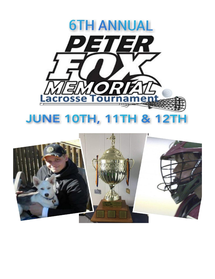

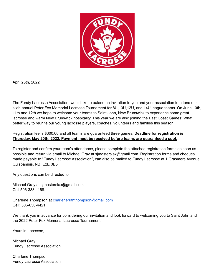

April 28th, 2022

The Fundy Lacrosse Association, would like to extend an invitation to you and your association to attend our sixth annual Peter Fox Memorial Lacrosse Tournament for 8U,10U,12U, and 14U league teams. On June 10th, 11th and 12th we hope to welcome your teams to Saint John, New Brunswick to experience some great lacrosse and warm New Brunswick hospitality. This year we are also joining the East Coast Games! What better way to reunite our young lacrosse players, coaches, volunteers and families this season!

## Registration fee is \$300.00 and all teams are guaranteed three games. **Deadline for registration is Thursday, May 20th, 2022. Payment must be received before teams are guaranteed a spot.**

To register and confirm your team's attendance, please complete the attached registration forms as soon as possible and return via email to Michael Gray at sjmasterslax@gmail.com. Registration forms and cheques made payable to "Fundy Lacrosse Association", can also be mailed to Fundy Lacrosse at 1 Grasmere Avenue, Quispamsis, NB, E2E 0B5.

Any questions can be directed to:

Michael Gray at sjmasterslax@gmail.com Cell 506-333-1168.

Charlene Thompson at [charleneruththompson@gmail.com](mailto:charleneruththompson@gmail.com) Cell: 506-650-4421

We thank you in advance for considering our invitation and look forward to welcoming you to Saint John and the 2022 Peter Fox Memorial Lacrosse Tournament.

Yours in Lacrosse,

Michael Gray Fundy Lacrosse Association

Charlene Thompson Fundy Lacrosse Association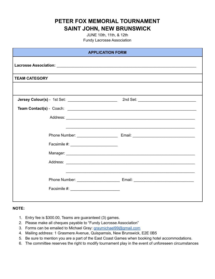**PETER FOX MEMORIAL TOURNAMENT SAINT JOHN, NEW BRUNSWICK**

> JUNE 10th, 11th, & 12th Fundy Lacrosse Association

| <b>APPLICATION FORM</b> |                                                                                   |  |
|-------------------------|-----------------------------------------------------------------------------------|--|
|                         |                                                                                   |  |
| <b>TEAM CATEGORY</b>    |                                                                                   |  |
|                         |                                                                                   |  |
|                         |                                                                                   |  |
|                         |                                                                                   |  |
|                         |                                                                                   |  |
|                         | ,我们也不能在这里的人,我们也不能在这里的人,我们也不能在这里的人,我们也不能在这里的人,我们也不能在这里的人,我们也不能在这里的人,我们也不能在这里的人,我们也 |  |
|                         |                                                                                   |  |
|                         |                                                                                   |  |
|                         |                                                                                   |  |
|                         |                                                                                   |  |
|                         |                                                                                   |  |
|                         | Phone Number: ____________________________ Email: _______________________________ |  |
|                         | Facsimile #: New York Processing # 2014                                           |  |
|                         |                                                                                   |  |

## **NOTE:**

- 1. Entry fee is \$300.00, Teams are guaranteed (3) games.
- 2. Please make all cheques payable to "Fundy Lacrosse Association"
- 3. Forms can be emailed to Michael Gray: [graymichael99@gmail.com](mailto:graymichael99@gmail.com)
- 4. Mailing address: 1 Grasmere Avenue, Quispamsis, New Brunswick, E2E 0B5
- 5. Be sure to mention you are a part of the East Coast Games when booking hotel accommodations.
- 6. The committee reserves the right to modify tournament play in the event of unforeseen circumstances